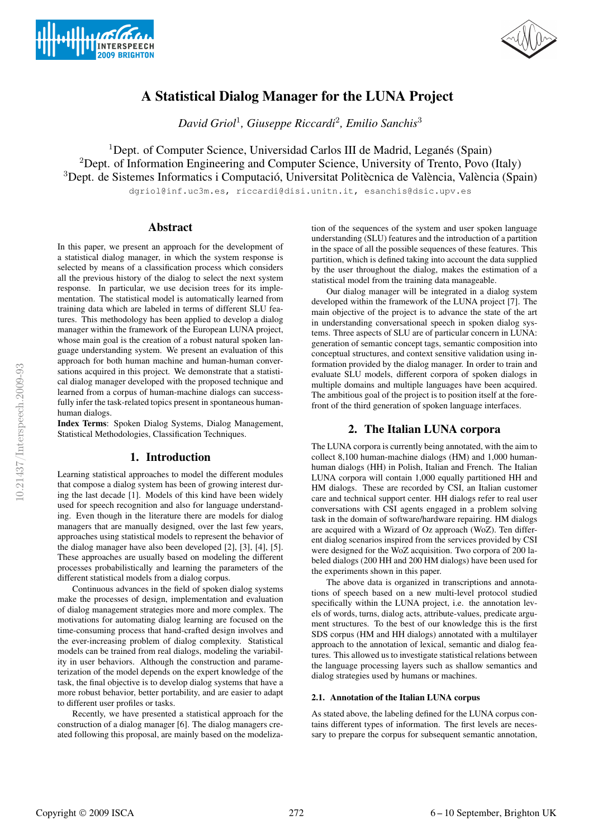



# A Statistical Dialog Manager for the LUNA Project

*David Griol*<sup>1</sup> *, Giuseppe Riccardi*<sup>2</sup> *, Emilio Sanchis*<sup>3</sup>

<sup>1</sup>Dept. of Computer Science, Universidad Carlos III de Madrid, Leganés (Spain) <sup>2</sup>Dept. of Information Engineering and Computer Science, University of Trento, Povo (Italy)  $3$ Dept. de Sistemes Informatics i Computació, Universitat Politècnica de València, València (Spain)

dgriol@inf.uc3m.es, riccardi@disi.unitn.it, esanchis@dsic.upv.es

#### **Abstract**

In this paper, we present an approach for the development of a statistical dialog manager, in which the system response is selected by means of a classification process which considers all the previous history of the dialog to select the next system response. In particular, we use decision trees for its implementation. The statistical model is automatically learned from training data which are labeled in terms of different SLU features. This methodology has been applied to develop a dialog manager within the framework of the European LUNA project, whose main goal is the creation of a robust natural spoken language understanding system. We present an evaluation of this approach for both human machine and human-human conversations acquired in this project. We demonstrate that a statistical dialog manager developed with the proposed technique and learned from a corpus of human-machine dialogs can successfully infer the task-related topics present in spontaneous humanhuman dialogs.

Index Terms: Spoken Dialog Systems, Dialog Management, Statistical Methodologies, Classification Techniques.

## 1. Introduction

Learning statistical approaches to model the different modules that compose a dialog system has been of growing interest during the last decade [1]. Models of this kind have been widely used for speech recognition and also for language understanding. Even though in the literature there are models for dialog managers that are manually designed, over the last few years, approaches using statistical models to represent the behavior of the dialog manager have also been developed [2], [3], [4], [5]. These approaches are usually based on modeling the different processes probabilistically and learning the parameters of the different statistical models from a dialog corpus.

Continuous advances in the field of spoken dialog systems make the processes of design, implementation and evaluation of dialog management strategies more and more complex. The motivations for automating dialog learning are focused on the time-consuming process that hand-crafted design involves and the ever-increasing problem of dialog complexity. Statistical models can be trained from real dialogs, modeling the variability in user behaviors. Although the construction and parameterization of the model depends on the expert knowledge of the task, the final objective is to develop dialog systems that have a more robust behavior, better portability, and are easier to adapt to different user profiles or tasks.

Recently, we have presented a statistical approach for the construction of a dialog manager [6]. The dialog managers created following this proposal, are mainly based on the modelization of the sequences of the system and user spoken language understanding (SLU) features and the introduction of a partition in the space of all the possible sequences of these features. This partition, which is defined taking into account the data supplied by the user throughout the dialog, makes the estimation of a statistical model from the training data manageable.

Our dialog manager will be integrated in a dialog system developed within the framework of the LUNA project [7]. The main objective of the project is to advance the state of the art in understanding conversational speech in spoken dialog systems. Three aspects of SLU are of particular concern in LUNA: generation of semantic concept tags, semantic composition into conceptual structures, and context sensitive validation using information provided by the dialog manager. In order to train and evaluate SLU models, different corpora of spoken dialogs in multiple domains and multiple languages have been acquired. The ambitious goal of the project is to position itself at the forefront of the third generation of spoken language interfaces.

# 2. The Italian LUNA corpora

The LUNA corpora is currently being annotated, with the aim to collect 8,100 human-machine dialogs (HM) and 1,000 humanhuman dialogs (HH) in Polish, Italian and French. The Italian LUNA corpora will contain 1,000 equally partitioned HH and HM dialogs. These are recorded by CSI, an Italian customer care and technical support center. HH dialogs refer to real user conversations with CSI agents engaged in a problem solving task in the domain of software/hardware repairing. HM dialogs are acquired with a Wizard of Oz approach (WoZ). Ten different dialog scenarios inspired from the services provided by CSI were designed for the WoZ acquisition. Two corpora of 200 labeled dialogs (200 HH and 200 HM dialogs) have been used for the experiments shown in this paper.

The above data is organized in transcriptions and annotations of speech based on a new multi-level protocol studied specifically within the LUNA project, i.e. the annotation levels of words, turns, dialog acts, attribute-values, predicate argument structures. To the best of our knowledge this is the first SDS corpus (HM and HH dialogs) annotated with a multilayer approach to the annotation of lexical, semantic and dialog features. This allowed us to investigate statistical relations between the language processing layers such as shallow semantics and dialog strategies used by humans or machines.

#### 2.1. Annotation of the Italian LUNA corpus

As stated above, the labeling defined for the LUNA corpus contains different types of information. The first levels are necessary to prepare the corpus for subsequent semantic annotation,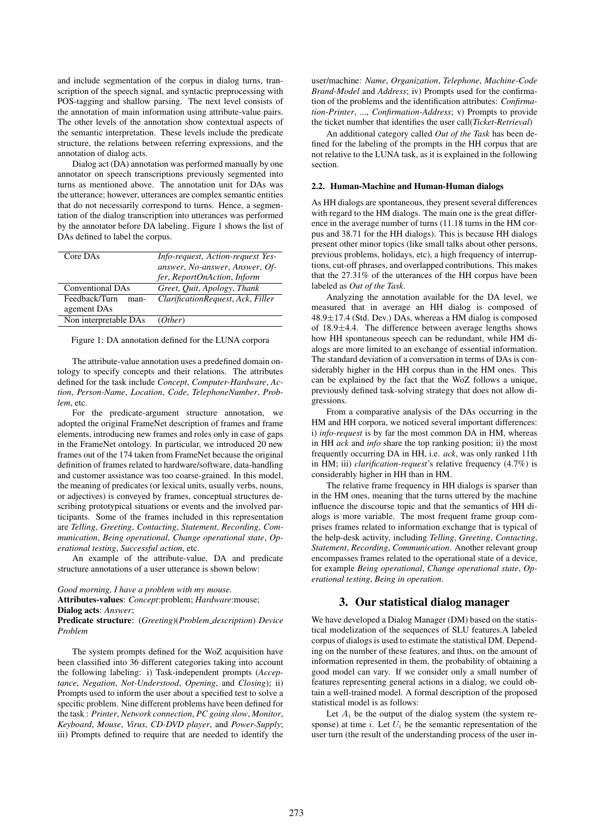and include segmentation of the corpus in dialog turns, transcription of the speech signal, and syntactic preprocessing with POS-tagging and shallow parsing. The next level consists of the annotation of main information using attribute-value pairs. The other levels of the annotation show contextual aspects of the semantic interpretation. These levels include the predicate structure, the relations between referring expressions, and the annotation of dialog acts.

Dialog act (DA) annotation was performed manually by one annotator on speech transcriptions previously segmented into turns as mentioned above. The annotation unit for DAs was the utterance; however, utterances are complex semantic entities that do not necessarily correspond to turns. Hence, a segmentation of the dialog transcription into utterances was performed by the annotator before DA labeling. Figure 1 shows the list of DAs defined to label the corpus.

| Core DAs                | Info-request, Action-request Yes- |
|-------------------------|-----------------------------------|
|                         | answer, No-answer, Answer, Of-    |
|                         | fer, ReportOnAction, Inform       |
| <b>Conventional DAs</b> | Greet, Ouit, Apology, Thank       |
| Feedback/Turn<br>man-   | ClarificationRequest, Ack, Filler |
| agement DAs             |                                   |
| Non interpretable DAs   | (Other)                           |

Figure 1: DA annotation defined for the LUNA corpora

The attribute-value annotation uses a predefined domain ontology to specify concepts and their relations. The attributes defined for the task include *Concept*, *Computer-Hardware*, *Action*, *Person-Name*, *Location*, *Code*, *TelephoneNumber*, *Problem*, etc.

For the predicate-argument structure annotation, we adopted the original FrameNet description of frames and frame elements, introducing new frames and roles only in case of gaps in the FrameNet ontology. In particular, we introduced 20 new frames out of the 174 taken from FrameNet because the original definition of frames related to hardware/software, data-handling and customer assistance was too coarse-grained. In this model, the meaning of predicates (or lexical units, usually verbs, nouns, or adjectives) is conveyed by frames, conceptual structures describing prototypical situations or events and the involved participants. Some of the frames included in this representation are *Telling*, *Greeting*, *Contacting*, *Statement*, *Recording*, *Communication*, *Being operational*, *Change operational state*, *Operational testing*, *Successful action*, etc.

An example of the attribute-value, DA and predicate structure annotations of a user utterance is shown below:

#### *Good morning, I have a problem with my mouse.*

Attributes-values: *Concept*:problem; *Hardware*:mouse; Dialog acts: *Answer*;

Predicate structure: (*Greeting*)(*Problem description*) *Device Problem*

The system prompts defined for the WoZ acquisition have been classified into 36 different categories taking into account the following labeling: i) Task-independent prompts (*Acceptance*, *Negation*, *Not-Understood*, *Opening*, and *Closing*); ii) Prompts used to inform the user about a specified test to solve a specific problem. Nine different problems have been defined for the task : *Printer*, *Network connection*, *PC going slow*, *Monitor*, *Keyboard*, *Mouse*, *Virus*, *CD-DVD player*, and *Power-Supply*; iii) Prompts defined to require that are needed to identify the user/machine: *Name*, *Organization*, *Telephone*, *Machine-Code Brand-Model* and *Address*; iv) Prompts used for the confirmation of the problems and the identification attributes: *Confirmation-Printer*, ..., *Confirmation-Address*; v) Prompts to provide the ticket number that identifies the user call(*Ticket-Retrieval*)

An additional category called *Out of the Task* has been defined for the labeling of the prompts in the HH corpus that are not relative to the LUNA task, as it is explained in the following section.

#### 2.2. Human-Machine and Human-Human dialogs

As HH dialogs are spontaneous, they present several differences with regard to the HM dialogs. The main one is the great difference in the average number of turns (11.18 turns in the HM corpus and 38.71 for the HH dialogs). This is because HH dialogs present other minor topics (like small talks about other persons, previous problems, holidays, etc), a high frequency of interruptions, cut-off phrases, and overlapped contributions. This makes that the 27.31% of the utterances of the HH corpus have been labeled as *Out of the Task*.

Analyzing the annotation available for the DA level, we measured that in average an HH dialog is composed of  $48.9 \pm 17.4$  (Std. Dev.) DAs, whereas a HM dialog is composed of 18.9±4.4. The difference between average lengths shows how HH spontaneous speech can be redundant, while HM dialogs are more limited to an exchange of essential information. The standard deviation of a conversation in terms of DAs is considerably higher in the HH corpus than in the HM ones. This can be explained by the fact that the WoZ follows a unique, previously defined task-solving strategy that does not allow digressions.

From a comparative analysis of the DAs occurring in the HM and HH corpora, we noticed several important differences: i) *info-request* is by far the most common DA in HM, whereas in HH *ack* and *info* share the top ranking position; ii) the most frequently occurring DA in HH, i.e. *ack*, was only ranked 11th in HM; iii) *clarification-request*'s relative frequency (4.7%) is considerably higher in HH than in HM.

The relative frame frequency in HH dialogs is sparser than in the HM ones, meaning that the turns uttered by the machine influence the discourse topic and that the semantics of HH dialogs is more variable. The most frequent frame group comprises frames related to information exchange that is typical of the help-desk activity, including *Telling*, *Greeting*, *Contacting*, *Statement*, *Recording*, *Communication*. Another relevant group encompasses frames related to the operational state of a device, for example *Being operational*, *Change operational state*, *Operational testing*, *Being in operation*.

### 3. Our statistical dialog manager

We have developed a Dialog Manager (DM) based on the statistical modelization of the sequences of SLU features.A labeled corpus of dialogs is used to estimate the statistical DM. Depending on the number of these features, and thus, on the amount of information represented in them, the probability of obtaining a good model can vary. If we consider only a small number of features representing general actions in a dialog, we could obtain a well-trained model. A formal description of the proposed statistical model is as follows:

Let  $A_i$  be the output of the dialog system (the system response) at time i. Let  $U_i$  be the semantic representation of the user turn (the result of the understanding process of the user in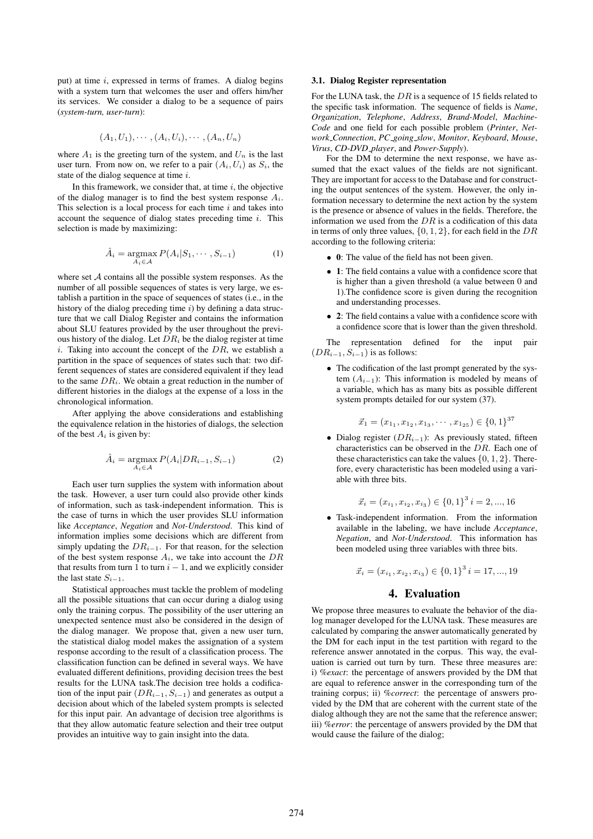put) at time i, expressed in terms of frames. A dialog begins with a system turn that welcomes the user and offers him/her its services. We consider a dialog to be a sequence of pairs (*system-turn, user-turn*):

$$
(A_1, U_1), \cdots, (A_i, U_i), \cdots, (A_n, U_n)
$$

where  $A_1$  is the greeting turn of the system, and  $U_n$  is the last user turn. From now on, we refer to a pair  $(A_i, U_i)$  as  $S_i$ , the state of the dialog sequence at time  $i$ .

In this framework, we consider that, at time  $i$ , the objective of the dialog manager is to find the best system response  $A_i$ . This selection is a local process for each time  $i$  and takes into account the sequence of dialog states preceding time  $i$ . This selection is made by maximizing:

$$
\hat{A}_i = \underset{A_i \in \mathcal{A}}{\operatorname{argmax}} P(A_i | S_1, \cdots, S_{i-1})
$$
(1)

where set  $A$  contains all the possible system responses. As the number of all possible sequences of states is very large, we establish a partition in the space of sequences of states (i.e., in the history of the dialog preceding time  $i$ ) by defining a data structure that we call Dialog Register and contains the information about SLU features provided by the user throughout the previous history of the dialog. Let  $DR<sub>i</sub>$  be the dialog register at time i. Taking into account the concept of the  $DR$ , we establish a partition in the space of sequences of states such that: two different sequences of states are considered equivalent if they lead to the same  $DR_i$ . We obtain a great reduction in the number of different histories in the dialogs at the expense of a loss in the chronological information.

After applying the above considerations and establishing the equivalence relation in the histories of dialogs, the selection of the best  $A_i$  is given by:

$$
\hat{A}_i = \underset{A_i \in \mathcal{A}}{\operatorname{argmax}} P(A_i | DR_{i-1}, S_{i-1})
$$
\n(2)

Each user turn supplies the system with information about the task. However, a user turn could also provide other kinds of information, such as task-independent information. This is the case of turns in which the user provides SLU information like *Acceptance*, *Negation* and *Not-Understood*. This kind of information implies some decisions which are different from simply updating the  $DR_{i-1}$ . For that reason, for the selection of the best system response  $A_i$ , we take into account the  $DR$ that results from turn 1 to turn  $i - 1$ , and we explicitly consider the last state  $S_{i-1}$ .

Statistical approaches must tackle the problem of modeling all the possible situations that can occur during a dialog using only the training corpus. The possibility of the user uttering an unexpected sentence must also be considered in the design of the dialog manager. We propose that, given a new user turn, the statistical dialog model makes the assignation of a system response according to the result of a classification process. The classification function can be defined in several ways. We have evaluated different definitions, providing decision trees the best results for the LUNA task.The decision tree holds a codification of the input pair  $(DR_{i-1}, S_{i-1})$  and generates as output a decision about which of the labeled system prompts is selected for this input pair. An advantage of decision tree algorithms is that they allow automatic feature selection and their tree output provides an intuitive way to gain insight into the data.

#### 3.1. Dialog Register representation

For the LUNA task, the DR is a sequence of 15 fields related to the specific task information. The sequence of fields is *Name*, *Organization*, *Telephone*, *Address*, *Brand-Model*, *Machine-Code* and one field for each possible problem (*Printer*, *Network Connection*, *PC going slow*, *Monitor*, *Keyboard*, *Mouse*, *Virus*, *CD-DVD player*, and *Power-Supply*).

For the DM to determine the next response, we have assumed that the exact values of the fields are not significant. They are important for access to the Database and for constructing the output sentences of the system. However, the only information necessary to determine the next action by the system is the presence or absence of values in the fields. Therefore, the information we used from the  $DR$  is a codification of this data in terms of only three values,  $\{0, 1, 2\}$ , for each field in the DR according to the following criteria:

- 0: The value of the field has not been given.
- 1: The field contains a value with a confidence score that is higher than a given threshold (a value between 0 and 1).The confidence score is given during the recognition and understanding processes.
- 2: The field contains a value with a confidence score with a confidence score that is lower than the given threshold.

The representation defined for the input pair  $(DR_{i-1}, S_{i-1})$  is as follows:

• The codification of the last prompt generated by the system  $(A_{i-1})$ : This information is modeled by means of a variable, which has as many bits as possible different system prompts detailed for our system (37).

$$
\vec{x}_1 = (x_{1_1}, x_{1_2}, x_{1_3}, \cdots, x_{1_{25}}) \in \{0, 1\}^{37}
$$

• Dialog register  $(DR_{i-1})$ : As previously stated, fifteen characteristics can be observed in the DR. Each one of these characteristics can take the values  $\{0, 1, 2\}$ . Therefore, every characteristic has been modeled using a variable with three bits.

$$
\vec{x}_i = (x_{i_1}, x_{i_2}, x_{i_3}) \in \{0, 1\}^3 \, i = 2, ..., 16
$$

• Task-independent information. From the information available in the labeling, we have include *Acceptance*, *Negation*, and *Not-Understood*. This information has been modeled using three variables with three bits.

$$
\vec{x}_i = (x_{i_1}, x_{i_2}, x_{i_3}) \in \{0, 1\}^3 \, i = 17, ..., 19
$$

#### 4. Evaluation

We propose three measures to evaluate the behavior of the dialog manager developed for the LUNA task. These measures are calculated by comparing the answer automatically generated by the DM for each input in the test partition with regard to the reference answer annotated in the corpus. This way, the evaluation is carried out turn by turn. These three measures are: i) *%exact*: the percentage of answers provided by the DM that are equal to reference answer in the corresponding turn of the training corpus; ii) *%correct*: the percentage of answers provided by the DM that are coherent with the current state of the dialog although they are not the same that the reference answer; iii) *%error*: the percentage of answers provided by the DM that would cause the failure of the dialog;